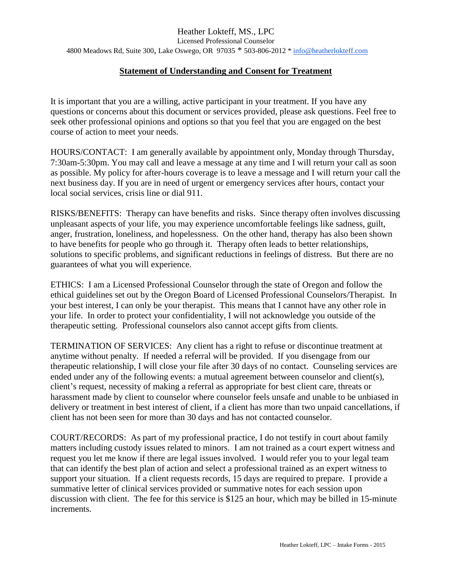## **Statement of Understanding and Consent for Treatment**

It is important that you are a willing, active participant in your treatment. If you have any questions or concerns about this document or services provided, please ask questions. Feel free to seek other professional opinions and options so that you feel that you are engaged on the best course of action to meet your needs.

HOURS/CONTACT: I am generally available by appointment only, Monday through Thursday, 7:30am-5:30pm. You may call and leave a message at any time and I will return your call as soon as possible. My policy for after-hours coverage is to leave a message and I will return your call the next business day. If you are in need of urgent or emergency services after hours, contact your local social services, crisis line or dial 911.

RISKS/BENEFITS: Therapy can have benefits and risks. Since therapy often involves discussing unpleasant aspects of your life, you may experience uncomfortable feelings like sadness, guilt, anger, frustration, loneliness, and hopelessness. On the other hand, therapy has also been shown to have benefits for people who go through it. Therapy often leads to better relationships, solutions to specific problems, and significant reductions in feelings of distress. But there are no guarantees of what you will experience.

ETHICS: I am a Licensed Professional Counselor through the state of Oregon and follow the ethical guidelines set out by the Oregon Board of Licensed Professional Counselors/Therapist. In your best interest, I can only be your therapist. This means that I cannot have any other role in your life. In order to protect your confidentiality, I will not acknowledge you outside of the therapeutic setting. Professional counselors also cannot accept gifts from clients.

TERMINATION OF SERVICES: Any client has a right to refuse or discontinue treatment at anytime without penalty. If needed a referral will be provided. If you disengage from our therapeutic relationship, I will close your file after 30 days of no contact. Counseling services are ended under any of the following events: a mutual agreement between counselor and client(s), client's request, necessity of making a referral as appropriate for best client care, threats or harassment made by client to counselor where counselor feels unsafe and unable to be unbiased in delivery or treatment in best interest of client, if a client has more than two unpaid cancellations, if client has not been seen for more than 30 days and has not contacted counselor.

COURT/RECORDS: As part of my professional practice, I do not testify in court about family matters including custody issues related to minors. I am not trained as a court expert witness and request you let me know if there are legal issues involved. I would refer you to your legal team that can identify the best plan of action and select a professional trained as an expert witness to support your situation. If a client requests records, 15 days are required to prepare. I provide a summative letter of clinical services provided or summative notes for each session upon discussion with client. The fee for this service is \$125 an hour, which may be billed in 15-minute increments.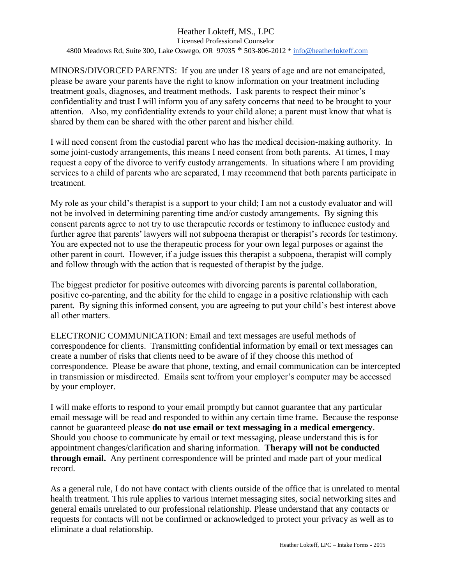### Heather Lokteff, MS., LPC Licensed Professional Counselor 4800 Meadows Rd, Suite 300, Lake Oswego, OR 97035 \* 503-806-2012 [\\* info@heatherlokteff.com](mailto:info@heatherlokteff.com)

MINORS/DIVORCED PARENTS: If you are under 18 years of age and are not emancipated, please be aware your parents have the right to know information on your treatment including treatment goals, diagnoses, and treatment methods. I ask parents to respect their minor's confidentiality and trust I will inform you of any safety concerns that need to be brought to your attention. Also, my confidentiality extends to your child alone; a parent must know that what is shared by them can be shared with the other parent and his/her child.

I will need consent from the custodial parent who has the medical decision-making authority. In some joint-custody arrangements, this means I need consent from both parents. At times, I may request a copy of the divorce to verify custody arrangements. In situations where I am providing services to a child of parents who are separated, I may recommend that both parents participate in treatment.

My role as your child's therapist is a support to your child; I am not a custody evaluator and will not be involved in determining parenting time and/or custody arrangements. By signing this consent parents agree to not try to use therapeutic records or testimony to influence custody and further agree that parents' lawyers will not subpoena therapist or therapist's records for testimony. You are expected not to use the therapeutic process for your own legal purposes or against the other parent in court. However, if a judge issues this therapist a subpoena, therapist will comply and follow through with the action that is requested of therapist by the judge.

The biggest predictor for positive outcomes with divorcing parents is parental collaboration, positive co-parenting, and the ability for the child to engage in a positive relationship with each parent. By signing this informed consent, you are agreeing to put your child's best interest above all other matters.

ELECTRONIC COMMUNICATION: Email and text messages are useful methods of correspondence for clients. Transmitting confidential information by email or text messages can create a number of risks that clients need to be aware of if they choose this method of correspondence. Please be aware that phone, texting, and email communication can be intercepted in transmission or misdirected. Emails sent to/from your employer's computer may be accessed by your employer.

I will make efforts to respond to your email promptly but cannot guarantee that any particular email message will be read and responded to within any certain time frame. Because the response cannot be guaranteed please **do not use email or text messaging in a medical emergency**. Should you choose to communicate by email or text messaging, please understand this is for appointment changes/clarification and sharing information. **Therapy will not be conducted through email.** Any pertinent correspondence will be printed and made part of your medical record.

As a general rule, I do not have contact with clients outside of the office that is unrelated to mental health treatment. This rule applies to various internet messaging sites, social networking sites and general emails unrelated to our professional relationship. Please understand that any contacts or requests for contacts will not be confirmed or acknowledged to protect your privacy as well as to eliminate a dual relationship.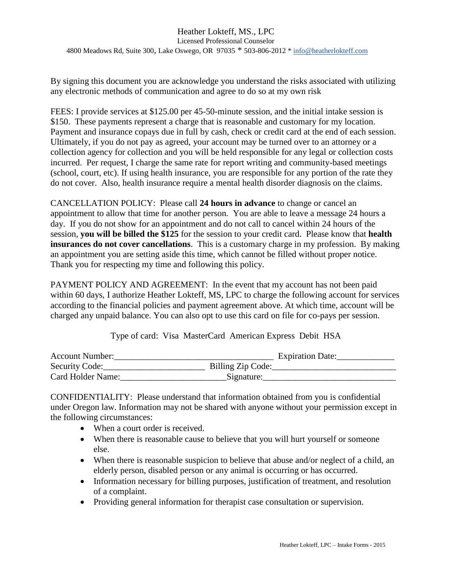By signing this document you are acknowledge you understand the risks associated with utilizing any electronic methods of communication and agree to do so at my own risk

FEES: I provide services at \$125.00 per 45-50-minute session, and the initial intake session is \$150. These payments represent a charge that is reasonable and customary for my location. Payment and insurance copays due in full by cash, check or credit card at the end of each session. Ultimately, if you do not pay as agreed, your account may be turned over to an attorney or a collection agency for collection and you will be held responsible for any legal or collection costs incurred. Per request, I charge the same rate for report writing and community-based meetings (school, court, etc). If using health insurance, you are responsible for any portion of the rate they do not cover. Also, health insurance require a mental health disorder diagnosis on the claims.

CANCELLATION POLICY: Please call **24 hours in advance** to change or cancel an appointment to allow that time for another person. You are able to leave a message 24 hours a day. If you do not show for an appointment and do not call to cancel within 24 hours of the session, **you will be billed the \$125** for the session to your credit card. Please know that **health insurances do not cover cancellations**. This is a customary charge in my profession. By making an appointment you are setting aside this time, which cannot be filled without proper notice. Thank you for respecting my time and following this policy.

PAYMENT POLICY AND AGREEMENT: In the event that my account has not been paid within 60 days, I authorize Heather Lokteff, MS, LPC to charge the following account for services according to the financial policies and payment agreement above. At which time, account will be charged any unpaid balance. You can also opt to use this card on file for co-pays per session.

Type of card: Visa MasterCard American Express Debit HSA

| <b>Account Number:</b> | <b>Expiration Date:</b> |
|------------------------|-------------------------|
| Security Code:         | Billing Zip Code:       |
| Card Holder Name:      | Signature:              |

CONFIDENTIALITY: Please understand that information obtained from you is confidential under Oregon law. Information may not be shared with anyone without your permission except in the following circumstances:

- When a court order is received.
- When there is reasonable cause to believe that you will hurt yourself or someone else.
- When there is reasonable suspicion to believe that abuse and/or neglect of a child, an elderly person, disabled person or any animal is occurring or has occurred.
- Information necessary for billing purposes, justification of treatment, and resolution of a complaint.
- Providing general information for therapist case consultation or supervision.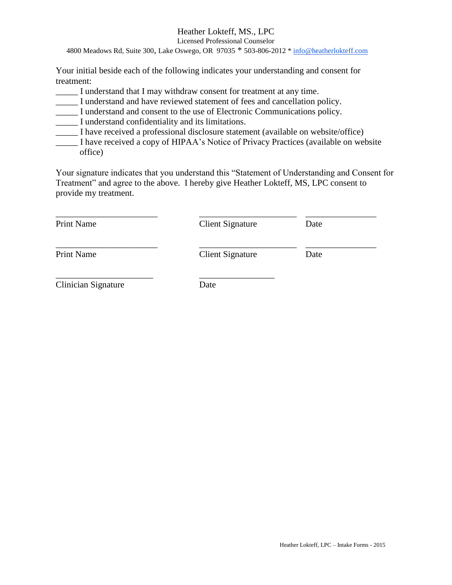# Heather Lokteff, MS., LPC

Licensed Professional Counselor

4800 Meadows Rd, Suite 300, Lake Oswego, OR 97035 \* 503-806-2012 [\\* info@heatherlokteff.com](mailto:info@heatherlokteff.com)

Your initial beside each of the following indicates your understanding and consent for treatment:

- \_\_\_\_\_ I understand that I may withdraw consent for treatment at any time.
- \_\_\_\_\_ I understand and have reviewed statement of fees and cancellation policy.
- \_\_\_\_\_ I understand and consent to the use of Electronic Communications policy.
- \_\_\_\_\_ I understand confidentiality and its limitations.
- \_\_\_\_\_ I have received a professional disclosure statement (available on website/office)
- \_\_\_\_\_ I have received a copy of HIPAA's Notice of Privacy Practices (available on website office)

Your signature indicates that you understand this "Statement of Understanding and Consent for Treatment" and agree to the above. I hereby give Heather Lokteff, MS, LPC consent to provide my treatment.

| <b>Print Name</b>          | <b>Client Signature</b> | Date |
|----------------------------|-------------------------|------|
| <b>Print Name</b>          | <b>Client Signature</b> | Date |
| <b>Clinician Signature</b> | Date                    |      |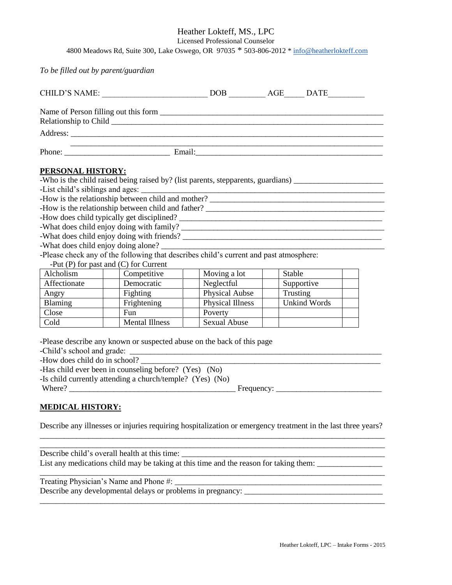Heather Lokteff, MS., LPC

Licensed Professional Counselor

4800 Meadows Rd, Suite 300, Lake Oswego, OR 97035 \* 503-806-2012 [\\* info@heatherlokteff.com](mailto:info@heatherlokteff.com)

*To be filled out by parent/guardian*

| <u> 1999 - Jan Jan James, martin dan bertama di sebagai bertama dan bertama di sebagai bertama di sebagai bertama</u>         |                                |          |                     |  |  |  |
|-------------------------------------------------------------------------------------------------------------------------------|--------------------------------|----------|---------------------|--|--|--|
| PERSONAL HISTORY:<br>-How is the relationship between child and father?                                                       |                                |          |                     |  |  |  |
|                                                                                                                               |                                |          |                     |  |  |  |
| -What does child enjoy doing alone?<br>-Please check any of the following that describes child's current and past atmosphere: |                                |          |                     |  |  |  |
| -Put $(P)$ for past and $(C)$ for Current                                                                                     |                                |          |                     |  |  |  |
| Competitive<br>Alcholism                                                                                                      | Moving a lot                   | Stable   |                     |  |  |  |
| Affectionate<br>Democratic                                                                                                    | Neglectful                     |          | Supportive          |  |  |  |
| Fighting<br>Angry                                                                                                             | Physical Aubse                 | Trusting | <b>Unkind Words</b> |  |  |  |
| Blaming<br>Frightening<br>Close<br><b>Fun</b>                                                                                 | <b>Physical Illness</b>        |          |                     |  |  |  |
| Cold<br><b>Mental Illness</b>                                                                                                 | Poverty<br><b>Sexual Abuse</b> |          |                     |  |  |  |
|                                                                                                                               |                                |          |                     |  |  |  |
| -Please describe any known or suspected abuse on the back of this page                                                        |                                |          |                     |  |  |  |
| -How does child do in school?<br>-Has child ever been in counseling before? (Yes) (No)                                        |                                |          |                     |  |  |  |
| -Is child currently attending a church/temple? (Yes) (No)                                                                     |                                |          |                     |  |  |  |

Where? \_\_\_\_\_\_\_\_\_\_\_\_\_\_\_\_\_\_\_\_\_\_\_\_\_\_\_\_\_\_\_\_\_\_\_\_\_\_\_\_\_ Frequency: \_\_\_\_\_\_\_\_\_\_\_\_\_\_\_\_\_\_\_\_\_\_\_\_\_\_

\_\_\_\_\_\_\_\_\_\_\_\_\_\_\_\_\_\_\_\_\_\_\_\_\_\_\_\_\_\_\_\_\_\_\_\_\_\_\_\_\_\_\_\_\_\_\_\_\_\_\_\_\_\_\_\_\_\_\_\_\_\_\_\_\_\_\_\_\_\_\_\_\_\_\_\_\_\_\_\_\_\_\_\_\_

#### **MEDICAL HISTORY:**

Describe any illnesses or injuries requiring hospitalization or emergency treatment in the last three years?

Describe child's overall health at this time: List any medications child may be taking at this time and the reason for taking them: \_\_\_\_\_\_\_\_\_\_\_\_\_\_\_\_\_\_\_\_\_\_\_\_

\_\_\_\_\_\_\_\_\_\_\_\_\_\_\_\_\_\_\_\_\_\_\_\_\_\_\_\_\_\_\_\_\_\_\_\_\_\_\_\_\_\_\_\_\_\_\_\_\_\_\_\_\_\_\_\_\_\_\_\_\_\_\_\_\_\_\_\_\_\_\_\_\_\_\_\_\_\_\_\_\_\_\_\_\_ Treating Physician's Name and Phone #: \_\_\_\_\_\_\_\_\_\_\_\_\_\_\_\_\_\_\_\_\_\_\_\_\_\_\_\_\_\_\_\_\_\_\_\_\_\_\_\_\_\_\_\_\_\_\_\_\_\_\_ Describe any developmental delays or problems in pregnancy: \_\_\_\_\_\_\_\_\_\_\_\_\_\_\_\_\_\_\_\_\_\_\_\_\_\_\_\_\_\_\_\_\_\_

\_\_\_\_\_\_\_\_\_\_\_\_\_\_\_\_\_\_\_\_\_\_\_\_\_\_\_\_\_\_\_\_\_\_\_\_\_\_\_\_\_\_\_\_\_\_\_\_\_\_\_\_\_\_\_\_\_\_\_\_\_\_\_\_\_\_\_\_\_\_\_\_\_\_\_\_\_\_\_\_\_\_\_\_\_